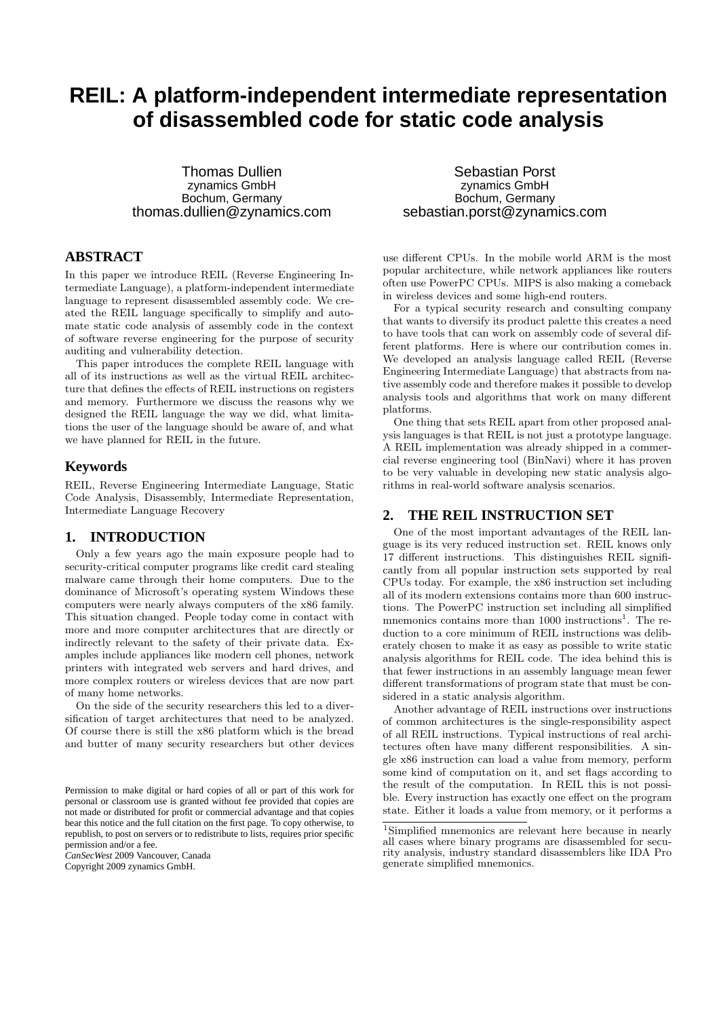# **REIL: A platform-independent intermediate representation of disassembled code for static code analysis**

Thomas Dullien zynamics GmbH Bochum, Germany thomas.dullien@zynamics.com

# **ABSTRACT**

In this paper we introduce REIL (Reverse Engineering Intermediate Language), a platform-independent intermediate language to represent disassembled assembly code. We created the REIL language specifically to simplify and automate static code analysis of assembly code in the context of software reverse engineering for the purpose of security auditing and vulnerability detection.

This paper introduces the complete REIL language with all of its instructions as well as the virtual REIL architecture that defines the effects of REIL instructions on registers and memory. Furthermore we discuss the reasons why we designed the REIL language the way we did, what limitations the user of the language should be aware of, and what we have planned for REIL in the future.

## **Keywords**

REIL, Reverse Engineering Intermediate Language, Static Code Analysis, Disassembly, Intermediate Representation, Intermediate Language Recovery

# **1. INTRODUCTION**

Only a few years ago the main exposure people had to security-critical computer programs like credit card stealing malware came through their home computers. Due to the dominance of Microsoft's operating system Windows these computers were nearly always computers of the x86 family. This situation changed. People today come in contact with more and more computer architectures that are directly or indirectly relevant to the safety of their private data. Examples include appliances like modern cell phones, network printers with integrated web servers and hard drives, and more complex routers or wireless devices that are now part of many home networks.

On the side of the security researchers this led to a diversification of target architectures that need to be analyzed. Of course there is still the x86 platform which is the bread and butter of many security researchers but other devices

*CanSecWest* 2009 Vancouver, Canada Copyright 2009 zynamics GmbH.

Sebastian Porst zynamics GmbH Bochum, Germany sebastian.porst@zynamics.com

use different CPUs. In the mobile world ARM is the most popular architecture, while network appliances like routers often use PowerPC CPUs. MIPS is also making a comeback in wireless devices and some high-end routers.

For a typical security research and consulting company that wants to diversify its product palette this creates a need to have tools that can work on assembly code of several different platforms. Here is where our contribution comes in. We developed an analysis language called REIL (Reverse Engineering Intermediate Language) that abstracts from native assembly code and therefore makes it possible to develop analysis tools and algorithms that work on many different platforms.

One thing that sets REIL apart from other proposed analysis languages is that REIL is not just a prototype language. A REIL implementation was already shipped in a commercial reverse engineering tool (BinNavi) where it has proven to be very valuable in developing new static analysis algorithms in real-world software analysis scenarios.

# **2. THE REIL INSTRUCTION SET**

One of the most important advantages of the REIL language is its very reduced instruction set. REIL knows only 17 different instructions. This distinguishes REIL significantly from all popular instruction sets supported by real CPUs today. For example, the x86 instruction set including all of its modern extensions contains more than 600 instructions. The PowerPC instruction set including all simplified mnemonics contains more than 1000 instructions<sup>1</sup>. The reduction to a core minimum of REIL instructions was deliberately chosen to make it as easy as possible to write static analysis algorithms for REIL code. The idea behind this is that fewer instructions in an assembly language mean fewer different transformations of program state that must be considered in a static analysis algorithm.

Another advantage of REIL instructions over instructions of common architectures is the single-responsibility aspect of all REIL instructions. Typical instructions of real architectures often have many different responsibilities. A single x86 instruction can load a value from memory, perform some kind of computation on it, and set flags according to the result of the computation. In REIL this is not possible. Every instruction has exactly one effect on the program state. Either it loads a value from memory, or it performs a

Permission to make digital or hard copies of all or part of this work for personal or classroom use is granted without fee provided that copies are not made or distributed for profit or commercial advantage and that copies bear this notice and the full citation on the first page. To copy otherwise, to republish, to post on servers or to redistribute to lists, requires prior specific permission and/or a fee.

<sup>1</sup>Simplified mnemonics are relevant here because in nearly all cases where binary programs are disassembled for security analysis, industry standard disassemblers like IDA Pro generate simplified mnemonics.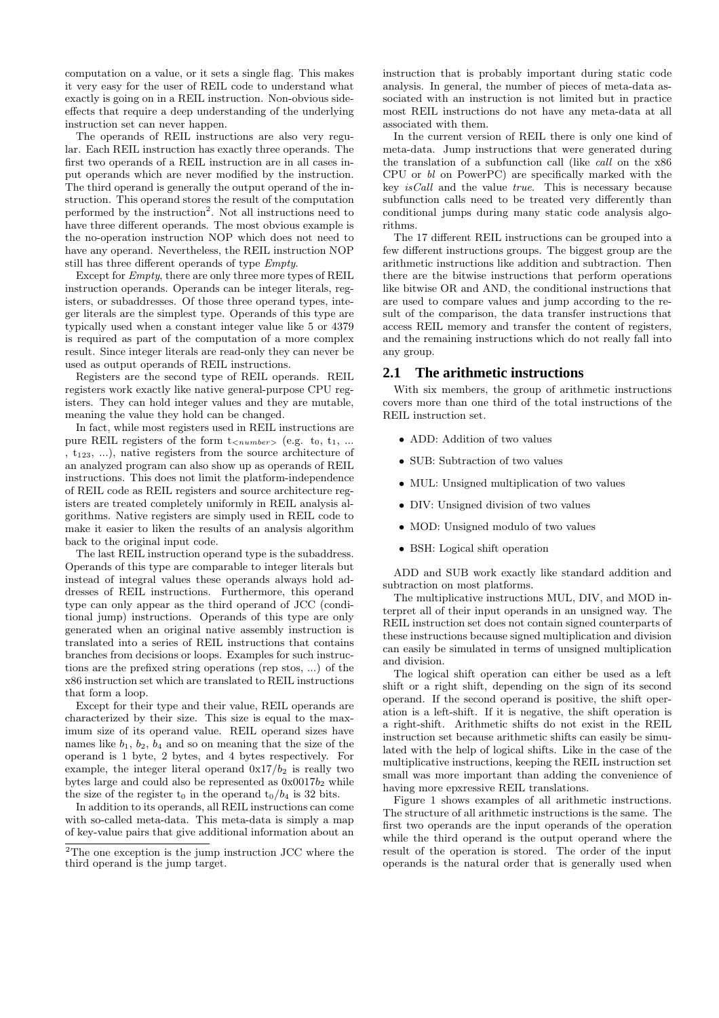computation on a value, or it sets a single flag. This makes it very easy for the user of REIL code to understand what exactly is going on in a REIL instruction. Non-obvious sideeffects that require a deep understanding of the underlying instruction set can never happen.

The operands of REIL instructions are also very regular. Each REIL instruction has exactly three operands. The first two operands of a REIL instruction are in all cases input operands which are never modified by the instruction. The third operand is generally the output operand of the instruction. This operand stores the result of the computation performed by the instruction<sup>2</sup>. Not all instructions need to have three different operands. The most obvious example is the no-operation instruction NOP which does not need to have any operand. Nevertheless, the REIL instruction NOP still has three different operands of type Empty.

Except for Empty, there are only three more types of REIL instruction operands. Operands can be integer literals, registers, or subaddresses. Of those three operand types, integer literals are the simplest type. Operands of this type are typically used when a constant integer value like 5 or 4379 is required as part of the computation of a more complex result. Since integer literals are read-only they can never be used as output operands of REIL instructions.

Registers are the second type of REIL operands. REIL registers work exactly like native general-purpose CPU registers. They can hold integer values and they are mutable, meaning the value they hold can be changed.

In fact, while most registers used in REIL instructions are pure REIL registers of the form  $t_{\langle number \rangle}$  (e.g.  $t_0, t_1, ...$ ,  $t_{123}$ , ...), native registers from the source architecture of an analyzed program can also show up as operands of REIL instructions. This does not limit the platform-independence of REIL code as REIL registers and source architecture registers are treated completely uniformly in REIL analysis algorithms. Native registers are simply used in REIL code to make it easier to liken the results of an analysis algorithm back to the original input code.

The last REIL instruction operand type is the subaddress. Operands of this type are comparable to integer literals but instead of integral values these operands always hold addresses of REIL instructions. Furthermore, this operand type can only appear as the third operand of JCC (conditional jump) instructions. Operands of this type are only generated when an original native assembly instruction is translated into a series of REIL instructions that contains branches from decisions or loops. Examples for such instructions are the prefixed string operations (rep stos, ...) of the x86 instruction set which are translated to REIL instructions that form a loop.

Except for their type and their value, REIL operands are characterized by their size. This size is equal to the maximum size of its operand value. REIL operand sizes have names like  $b_1$ ,  $b_2$ ,  $b_4$  and so on meaning that the size of the operand is 1 byte, 2 bytes, and 4 bytes respectively. For example, the integer literal operand  $0x17/b_2$  is really two bytes large and could also be represented as  $0 \times 0017b_2$  while the size of the register  $t_0$  in the operand  $t_0/b_4$  is 32 bits.

In addition to its operands, all REIL instructions can come with so-called meta-data. This meta-data is simply a map of key-value pairs that give additional information about an

instruction that is probably important during static code analysis. In general, the number of pieces of meta-data associated with an instruction is not limited but in practice most REIL instructions do not have any meta-data at all associated with them.

In the current version of REIL there is only one kind of meta-data. Jump instructions that were generated during the translation of a subfunction call (like call on the x86 CPU or bl on PowerPC) are specifically marked with the key isCall and the value true. This is necessary because subfunction calls need to be treated very differently than conditional jumps during many static code analysis algorithms.

The 17 different REIL instructions can be grouped into a few different instructions groups. The biggest group are the arithmetic instructions like addition and subtraction. Then there are the bitwise instructions that perform operations like bitwise OR and AND, the conditional instructions that are used to compare values and jump according to the result of the comparison, the data transfer instructions that access REIL memory and transfer the content of registers, and the remaining instructions which do not really fall into any group.

# **2.1 The arithmetic instructions**

With six members, the group of arithmetic instructions covers more than one third of the total instructions of the REIL instruction set.

- ADD: Addition of two values
- SUB: Subtraction of two values
- MUL: Unsigned multiplication of two values
- DIV: Unsigned division of two values
- MOD: Unsigned modulo of two values
- BSH: Logical shift operation

ADD and SUB work exactly like standard addition and subtraction on most platforms.

The multiplicative instructions MUL, DIV, and MOD interpret all of their input operands in an unsigned way. The REIL instruction set does not contain signed counterparts of these instructions because signed multiplication and division can easily be simulated in terms of unsigned multiplication and division.

The logical shift operation can either be used as a left shift or a right shift, depending on the sign of its second operand. If the second operand is positive, the shift operation is a left-shift. If it is negative, the shift operation is a right-shift. Arithmetic shifts do not exist in the REIL instruction set because arithmetic shifts can easily be simulated with the help of logical shifts. Like in the case of the multiplicative instructions, keeping the REIL instruction set small was more important than adding the convenience of having more epxressive REIL translations.

Figure 1 shows examples of all arithmetic instructions. The structure of all arithmetic instructions is the same. The first two operands are the input operands of the operation while the third operand is the output operand where the result of the operation is stored. The order of the input operands is the natural order that is generally used when

<sup>2</sup>The one exception is the jump instruction JCC where the third operand is the jump target.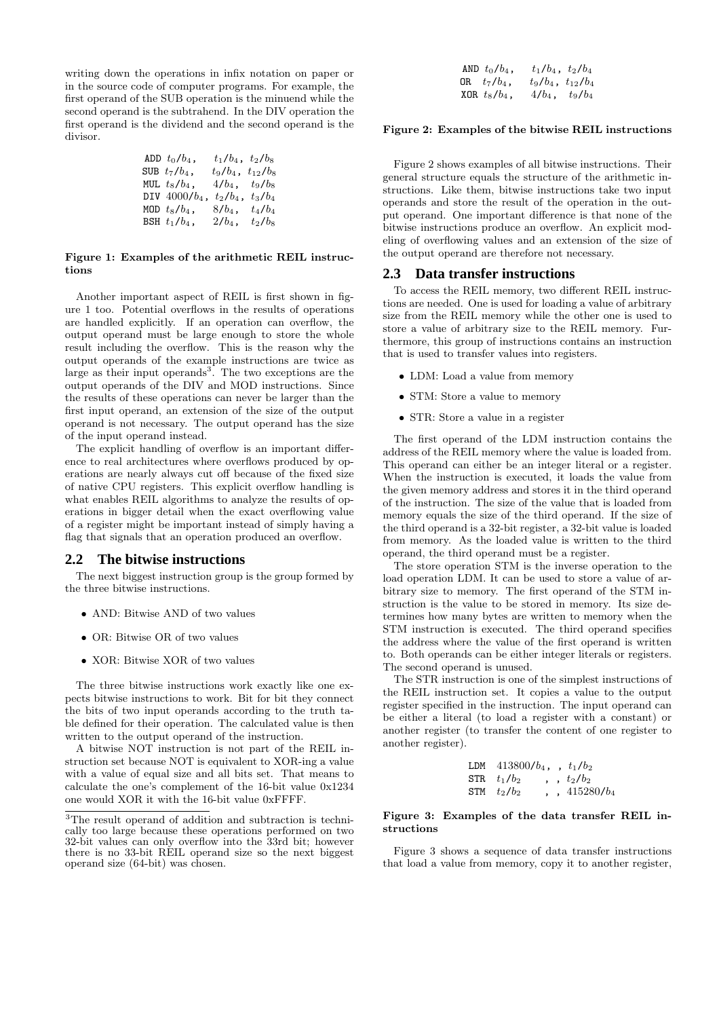writing down the operations in infix notation on paper or in the source code of computer programs. For example, the first operand of the SUB operation is the minuend while the second operand is the subtrahend. In the DIV operation the first operand is the dividend and the second operand is the divisor.

| ADD $t_0/b_4$ ,  | $t_1/b_4$ , $t_2/b_8$    |           |
|------------------|--------------------------|-----------|
| SUB $t_7/b_4$ ,  | $t_9/b_4$ , $t_{12}/b_8$ |           |
| MUL $t_8/b_4$ ,  | $4/b_4$ , $t_9/b_8$      |           |
| DIV $4000/b_4$ , | $t_2/b_4$ ,              | $t_3/b_4$ |
| MOD $t_8/b_4$ ,  | $8/b_4$ ,                | $t_4/b_4$ |
| BSH $t_1/b_4$ ,  | $2/b_4$ ,                | $t_2/b_8$ |

#### Figure 1: Examples of the arithmetic REIL instructions

Another important aspect of REIL is first shown in figure 1 too. Potential overflows in the results of operations are handled explicitly. If an operation can overflow, the output operand must be large enough to store the whole result including the overflow. This is the reason why the output operands of the example instructions are twice as large as their input operands<sup>3</sup>. The two exceptions are the output operands of the DIV and MOD instructions. Since the results of these operations can never be larger than the first input operand, an extension of the size of the output operand is not necessary. The output operand has the size of the input operand instead.

The explicit handling of overflow is an important difference to real architectures where overflows produced by operations are nearly always cut off because of the fixed size of native CPU registers. This explicit overflow handling is what enables REIL algorithms to analyze the results of operations in bigger detail when the exact overflowing value of a register might be important instead of simply having a flag that signals that an operation produced an overflow.

## **2.2 The bitwise instructions**

The next biggest instruction group is the group formed by the three bitwise instructions.

- AND: Bitwise AND of two values
- OR: Bitwise OR of two values
- XOR: Bitwise XOR of two values

The three bitwise instructions work exactly like one expects bitwise instructions to work. Bit for bit they connect the bits of two input operands according to the truth table defined for their operation. The calculated value is then written to the output operand of the instruction.

A bitwise NOT instruction is not part of the REIL instruction set because NOT is equivalent to XOR-ing a value with a value of equal size and all bits set. That means to calculate the one's complement of the 16-bit value 0x1234 one would XOR it with the 16-bit value 0xFFFF.

| AND $t_0/b_4$ , | $t_1/b_4$ , $t_2/b_4$    |  |
|-----------------|--------------------------|--|
| OR $t_7/b_4$ ,  | $t_9/b_4$ , $t_{12}/b_4$ |  |
| XOR $t_8/b_4$ , | $4/b_4, t_9/b_4$         |  |

### Figure 2: Examples of the bitwise REIL instructions

Figure 2 shows examples of all bitwise instructions. Their general structure equals the structure of the arithmetic instructions. Like them, bitwise instructions take two input operands and store the result of the operation in the output operand. One important difference is that none of the bitwise instructions produce an overflow. An explicit modeling of overflowing values and an extension of the size of the output operand are therefore not necessary.

#### **2.3 Data transfer instructions**

To access the REIL memory, two different REIL instructions are needed. One is used for loading a value of arbitrary size from the REIL memory while the other one is used to store a value of arbitrary size to the REIL memory. Furthermore, this group of instructions contains an instruction that is used to transfer values into registers.

- LDM: Load a value from memory
- STM: Store a value to memory
- STR: Store a value in a register

The first operand of the LDM instruction contains the address of the REIL memory where the value is loaded from. This operand can either be an integer literal or a register. When the instruction is executed, it loads the value from the given memory address and stores it in the third operand of the instruction. The size of the value that is loaded from memory equals the size of the third operand. If the size of the third operand is a 32-bit register, a 32-bit value is loaded from memory. As the loaded value is written to the third operand, the third operand must be a register.

The store operation STM is the inverse operation to the load operation LDM. It can be used to store a value of arbitrary size to memory. The first operand of the STM instruction is the value to be stored in memory. Its size determines how many bytes are written to memory when the STM instruction is executed. The third operand specifies the address where the value of the first operand is written to. Both operands can be either integer literals or registers. The second operand is unused.

The STR instruction is one of the simplest instructions of the REIL instruction set. It copies a value to the output register specified in the instruction. The input operand can be either a literal (to load a register with a constant) or another register (to transfer the content of one register to another register).

| LDM $413800/b_4$ , $t_1/b_2$ |                |
|------------------------------|----------------|
| STR $t_1/b_2$                | $\, t_2/b_2$   |
| STM $t_2/b_2$                | $, 415280/b_4$ |

#### Figure 3: Examples of the data transfer REIL instructions

Figure 3 shows a sequence of data transfer instructions that load a value from memory, copy it to another register,

<sup>3</sup>The result operand of addition and subtraction is technically too large because these operations performed on two 32-bit values can only overflow into the 33rd bit; however there is no 33-bit REIL operand size so the next biggest operand size (64-bit) was chosen.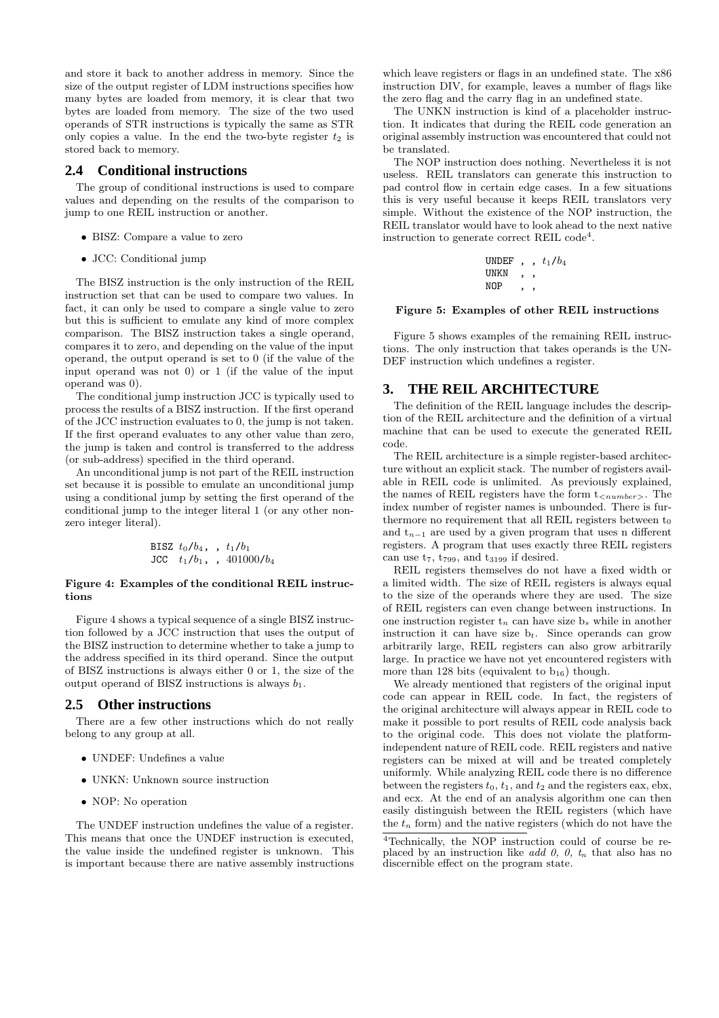and store it back to another address in memory. Since the size of the output register of LDM instructions specifies how many bytes are loaded from memory, it is clear that two bytes are loaded from memory. The size of the two used operands of STR instructions is typically the same as STR only copies a value. In the end the two-byte register  $t_2$  is stored back to memory.

# **2.4 Conditional instructions**

The group of conditional instructions is used to compare values and depending on the results of the comparison to jump to one REIL instruction or another.

- BISZ: Compare a value to zero
- JCC: Conditional jump

The BISZ instruction is the only instruction of the REIL instruction set that can be used to compare two values. In fact, it can only be used to compare a single value to zero but this is sufficient to emulate any kind of more complex comparison. The BISZ instruction takes a single operand, compares it to zero, and depending on the value of the input operand, the output operand is set to 0 (if the value of the input operand was not 0) or 1 (if the value of the input operand was 0).

The conditional jump instruction JCC is typically used to process the results of a BISZ instruction. If the first operand of the JCC instruction evaluates to 0, the jump is not taken. If the first operand evaluates to any other value than zero, the jump is taken and control is transferred to the address (or sub-address) specified in the third operand.

An unconditional jump is not part of the REIL instruction set because it is possible to emulate an unconditional jump using a conditional jump by setting the first operand of the conditional jump to the integer literal 1 (or any other nonzero integer literal).

BISZ 
$$
t_0/b_4
$$
, ,  $t_1/b_1$   
JCC  $t_1/b_1$ , , 401000/b<sub>4</sub>

#### Figure 4: Examples of the conditional REIL instructions

Figure 4 shows a typical sequence of a single BISZ instruction followed by a JCC instruction that uses the output of the BISZ instruction to determine whether to take a jump to the address specified in its third operand. Since the output of BISZ instructions is always either 0 or 1, the size of the output operand of BISZ instructions is always  $b_1$ .

# **2.5 Other instructions**

There are a few other instructions which do not really belong to any group at all.

- UNDEF: Undefines a value
- UNKN: Unknown source instruction
- NOP: No operation

The UNDEF instruction undefines the value of a register. This means that once the UNDEF instruction is executed, the value inside the undefined register is unknown. This is important because there are native assembly instructions

which leave registers or flags in an undefined state. The x86 instruction DIV, for example, leaves a number of flags like the zero flag and the carry flag in an undefined state.

The UNKN instruction is kind of a placeholder instruction. It indicates that during the REIL code generation an original assembly instruction was encountered that could not be translated.

The NOP instruction does nothing. Nevertheless it is not useless. REIL translators can generate this instruction to pad control flow in certain edge cases. In a few situations this is very useful because it keeps REIL translators very simple. Without the existence of the NOP instruction, the REIL translator would have to look ahead to the next native instruction to generate correct REIL code<sup>4</sup>.

> UNDEF,  $t_1/b_4$ UNKN , , NOP , ,

#### Figure 5: Examples of other REIL instructions

Figure 5 shows examples of the remaining REIL instructions. The only instruction that takes operands is the UN-DEF instruction which undefines a register.

# **3. THE REIL ARCHITECTURE**

The definition of the REIL language includes the description of the REIL architecture and the definition of a virtual machine that can be used to execute the generated REIL code.

The REIL architecture is a simple register-based architecture without an explicit stack. The number of registers available in REIL code is unlimited. As previously explained, the names of REIL registers have the form  $t_{\leq number}$ . The index number of register names is unbounded. There is furthermore no requirement that all REIL registers between  $t_0$ and  $t_{n-1}$  are used by a given program that uses n different registers. A program that uses exactly three REIL registers can use  $t_7$ ,  $t_{799}$ , and  $t_{3199}$  if desired.

REIL registers themselves do not have a fixed width or a limited width. The size of REIL registers is always equal to the size of the operands where they are used. The size of REIL registers can even change between instructions. In one instruction register  $t_n$  can have size  $b_s$  while in another instruction it can have size  $b_t$ . Since operands can grow arbitrarily large, REIL registers can also grow arbitrarily large. In practice we have not yet encountered registers with more than 128 bits (equivalent to  $b_{16}$ ) though.

We already mentioned that registers of the original input code can appear in REIL code. In fact, the registers of the original architecture will always appear in REIL code to make it possible to port results of REIL code analysis back to the original code. This does not violate the platformindependent nature of REIL code. REIL registers and native registers can be mixed at will and be treated completely uniformly. While analyzing REIL code there is no difference between the registers  $t_0$ ,  $t_1$ , and  $t_2$  and the registers eax, ebx, and ecx. At the end of an analysis algorithm one can then easily distinguish between the REIL registers (which have the  $t_n$  form) and the native registers (which do not have the

<sup>4</sup>Technically, the NOP instruction could of course be replaced by an instruction like add 0, 0,  $t_n$  that also has no discernible effect on the program state.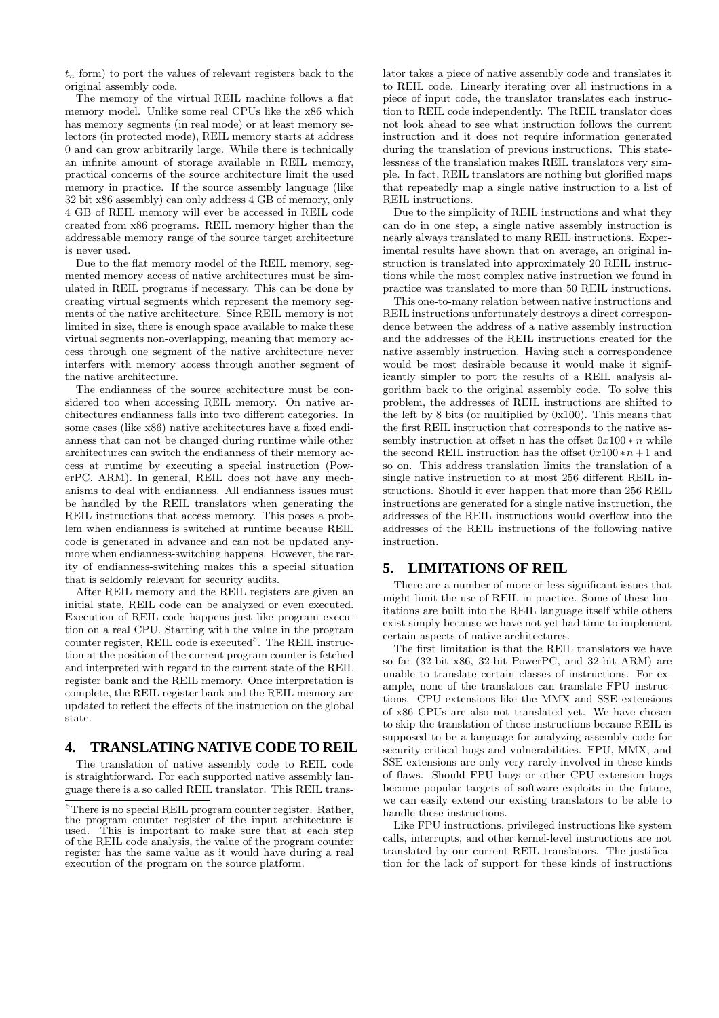$t_n$  form) to port the values of relevant registers back to the original assembly code.

The memory of the virtual REIL machine follows a flat memory model. Unlike some real CPUs like the x86 which has memory segments (in real mode) or at least memory selectors (in protected mode), REIL memory starts at address 0 and can grow arbitrarily large. While there is technically an infinite amount of storage available in REIL memory, practical concerns of the source architecture limit the used memory in practice. If the source assembly language (like 32 bit x86 assembly) can only address 4 GB of memory, only 4 GB of REIL memory will ever be accessed in REIL code created from x86 programs. REIL memory higher than the addressable memory range of the source target architecture is never used.

Due to the flat memory model of the REIL memory, segmented memory access of native architectures must be simulated in REIL programs if necessary. This can be done by creating virtual segments which represent the memory segments of the native architecture. Since REIL memory is not limited in size, there is enough space available to make these virtual segments non-overlapping, meaning that memory access through one segment of the native architecture never interfers with memory access through another segment of the native architecture.

The endianness of the source architecture must be considered too when accessing REIL memory. On native architectures endianness falls into two different categories. In some cases (like x86) native architectures have a fixed endianness that can not be changed during runtime while other architectures can switch the endianness of their memory access at runtime by executing a special instruction (PowerPC, ARM). In general, REIL does not have any mechanisms to deal with endianness. All endianness issues must be handled by the REIL translators when generating the REIL instructions that access memory. This poses a problem when endianness is switched at runtime because REIL code is generated in advance and can not be updated anymore when endianness-switching happens. However, the rarity of endianness-switching makes this a special situation that is seldomly relevant for security audits.

After REIL memory and the REIL registers are given an initial state, REIL code can be analyzed or even executed. Execution of REIL code happens just like program execution on a real CPU. Starting with the value in the program counter register, REIL code is executed<sup>5</sup>. The REIL instruction at the position of the current program counter is fetched and interpreted with regard to the current state of the REIL register bank and the REIL memory. Once interpretation is complete, the REIL register bank and the REIL memory are updated to reflect the effects of the instruction on the global state.

# **4. TRANSLATING NATIVE CODE TO REIL**

The translation of native assembly code to REIL code is straightforward. For each supported native assembly language there is a so called REIL translator. This REIL translator takes a piece of native assembly code and translates it to REIL code. Linearly iterating over all instructions in a piece of input code, the translator translates each instruction to REIL code independently. The REIL translator does not look ahead to see what instruction follows the current instruction and it does not require information generated during the translation of previous instructions. This statelessness of the translation makes REIL translators very simple. In fact, REIL translators are nothing but glorified maps that repeatedly map a single native instruction to a list of REIL instructions.

Due to the simplicity of REIL instructions and what they can do in one step, a single native assembly instruction is nearly always translated to many REIL instructions. Experimental results have shown that on average, an original instruction is translated into approximately 20 REIL instructions while the most complex native instruction we found in practice was translated to more than 50 REIL instructions.

This one-to-many relation between native instructions and REIL instructions unfortunately destroys a direct correspondence between the address of a native assembly instruction and the addresses of the REIL instructions created for the native assembly instruction. Having such a correspondence would be most desirable because it would make it significantly simpler to port the results of a REIL analysis algorithm back to the original assembly code. To solve this problem, the addresses of REIL instructions are shifted to the left by 8 bits (or multiplied by 0x100). This means that the first REIL instruction that corresponds to the native assembly instruction at offset n has the offset  $0x100*n$  while the second REIL instruction has the offset  $0x100*n+1$  and so on. This address translation limits the translation of a single native instruction to at most 256 different REIL instructions. Should it ever happen that more than 256 REIL instructions are generated for a single native instruction, the addresses of the REIL instructions would overflow into the addresses of the REIL instructions of the following native instruction.

## **5. LIMITATIONS OF REIL**

There are a number of more or less significant issues that might limit the use of REIL in practice. Some of these limitations are built into the REIL language itself while others exist simply because we have not yet had time to implement certain aspects of native architectures.

The first limitation is that the REIL translators we have so far (32-bit x86, 32-bit PowerPC, and 32-bit ARM) are unable to translate certain classes of instructions. For example, none of the translators can translate FPU instructions. CPU extensions like the MMX and SSE extensions of x86 CPUs are also not translated yet. We have chosen to skip the translation of these instructions because REIL is supposed to be a language for analyzing assembly code for security-critical bugs and vulnerabilities. FPU, MMX, and SSE extensions are only very rarely involved in these kinds of flaws. Should FPU bugs or other CPU extension bugs become popular targets of software exploits in the future, we can easily extend our existing translators to be able to handle these instructions.

Like FPU instructions, privileged instructions like system calls, interrupts, and other kernel-level instructions are not translated by our current REIL translators. The justification for the lack of support for these kinds of instructions

<sup>5</sup>There is no special REIL program counter register. Rather, the program counter register of the input architecture is used. This is important to make sure that at each step of the REIL code analysis, the value of the program counter register has the same value as it would have during a real execution of the program on the source platform.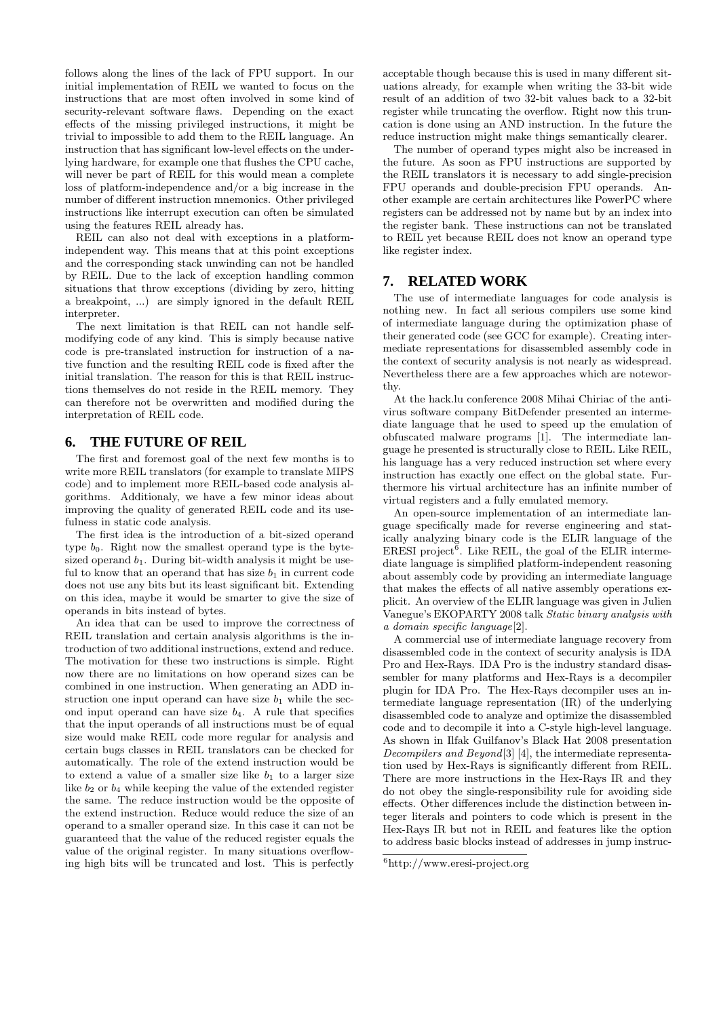follows along the lines of the lack of FPU support. In our initial implementation of REIL we wanted to focus on the instructions that are most often involved in some kind of security-relevant software flaws. Depending on the exact effects of the missing privileged instructions, it might be trivial to impossible to add them to the REIL language. An instruction that has significant low-level effects on the underlying hardware, for example one that flushes the CPU cache, will never be part of REIL for this would mean a complete loss of platform-independence and/or a big increase in the number of different instruction mnemonics. Other privileged instructions like interrupt execution can often be simulated using the features REIL already has.

REIL can also not deal with exceptions in a platformindependent way. This means that at this point exceptions and the corresponding stack unwinding can not be handled by REIL. Due to the lack of exception handling common situations that throw exceptions (dividing by zero, hitting a breakpoint, ...) are simply ignored in the default REIL interpreter.

The next limitation is that REIL can not handle selfmodifying code of any kind. This is simply because native code is pre-translated instruction for instruction of a native function and the resulting REIL code is fixed after the initial translation. The reason for this is that REIL instructions themselves do not reside in the REIL memory. They can therefore not be overwritten and modified during the interpretation of REIL code.

# **6. THE FUTURE OF REIL**

The first and foremost goal of the next few months is to write more REIL translators (for example to translate MIPS code) and to implement more REIL-based code analysis algorithms. Additionaly, we have a few minor ideas about improving the quality of generated REIL code and its usefulness in static code analysis.

The first idea is the introduction of a bit-sized operand type  $b_0$ . Right now the smallest operand type is the bytesized operand  $b_1$ . During bit-width analysis it might be useful to know that an operand that has size  $b_1$  in current code does not use any bits but its least significant bit. Extending on this idea, maybe it would be smarter to give the size of operands in bits instead of bytes.

An idea that can be used to improve the correctness of REIL translation and certain analysis algorithms is the introduction of two additional instructions, extend and reduce. The motivation for these two instructions is simple. Right now there are no limitations on how operand sizes can be combined in one instruction. When generating an ADD instruction one input operand can have size  $b_1$  while the second input operand can have size  $b_4$ . A rule that specifies that the input operands of all instructions must be of equal size would make REIL code more regular for analysis and certain bugs classes in REIL translators can be checked for automatically. The role of the extend instruction would be to extend a value of a smaller size like  $b_1$  to a larger size like  $b_2$  or  $b_4$  while keeping the value of the extended register the same. The reduce instruction would be the opposite of the extend instruction. Reduce would reduce the size of an operand to a smaller operand size. In this case it can not be guaranteed that the value of the reduced register equals the value of the original register. In many situations overflowing high bits will be truncated and lost. This is perfectly

acceptable though because this is used in many different situations already, for example when writing the 33-bit wide result of an addition of two 32-bit values back to a 32-bit register while truncating the overflow. Right now this truncation is done using an AND instruction. In the future the reduce instruction might make things semantically clearer.

The number of operand types might also be increased in the future. As soon as FPU instructions are supported by the REIL translators it is necessary to add single-precision FPU operands and double-precision FPU operands. Another example are certain architectures like PowerPC where registers can be addressed not by name but by an index into the register bank. These instructions can not be translated to REIL yet because REIL does not know an operand type like register index.

## **7. RELATED WORK**

The use of intermediate languages for code analysis is nothing new. In fact all serious compilers use some kind of intermediate language during the optimization phase of their generated code (see GCC for example). Creating intermediate representations for disassembled assembly code in the context of security analysis is not nearly as widespread. Nevertheless there are a few approaches which are noteworthy.

At the hack.lu conference 2008 Mihai Chiriac of the antivirus software company BitDefender presented an intermediate language that he used to speed up the emulation of obfuscated malware programs [1]. The intermediate language he presented is structurally close to REIL. Like REIL, his language has a very reduced instruction set where every instruction has exactly one effect on the global state. Furthermore his virtual architecture has an infinite number of virtual registers and a fully emulated memory.

An open-source implementation of an intermediate language specifically made for reverse engineering and statically analyzing binary code is the ELIR language of the  $EREST project^6$ . Like REIL, the goal of the ELIR intermediate language is simplified platform-independent reasoning about assembly code by providing an intermediate language that makes the effects of all native assembly operations explicit. An overview of the ELIR language was given in Julien Vanegue's EKOPARTY 2008 talk Static binary analysis with a domain specific language[2].

A commercial use of intermediate language recovery from disassembled code in the context of security analysis is IDA Pro and Hex-Rays. IDA Pro is the industry standard disassembler for many platforms and Hex-Rays is a decompiler plugin for IDA Pro. The Hex-Rays decompiler uses an intermediate language representation (IR) of the underlying disassembled code to analyze and optimize the disassembled code and to decompile it into a C-style high-level language. As shown in Ilfak Guilfanov's Black Hat 2008 presentation Decompilers and Beyond[3] [4], the intermediate representation used by Hex-Rays is significantly different from REIL. There are more instructions in the Hex-Rays IR and they do not obey the single-responsibility rule for avoiding side effects. Other differences include the distinction between integer literals and pointers to code which is present in the Hex-Rays IR but not in REIL and features like the option to address basic blocks instead of addresses in jump instruc-

 $^6$ http://www.eresi-project.org